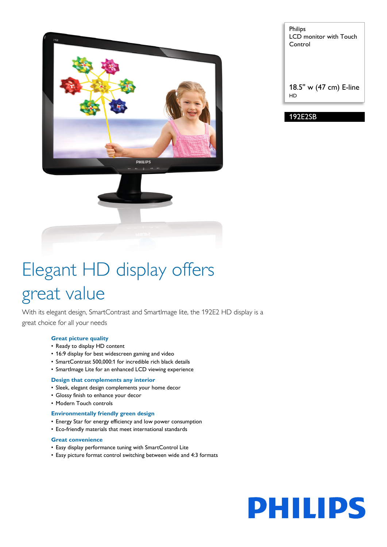

Philips LCD monitor with Touch Control

18.5'' w (47 cm) E-line HD

192E2SB

# Elegant HD display offers great value

With its elegant design, SmartContrast and SmartImage lite, the 192E2 HD display is a great choice for all your needs

### **Great picture quality**

- Ready to display HD content
- 16:9 display for best widescreen gaming and video
- SmartContrast 500,000:1 for incredible rich black details
- SmartImage Lite for an enhanced LCD viewing experience

#### **Design that complements any interior**

- Sleek, elegant design complements your home decor
- Glossy finish to enhance your decor
- Modern Touch controls

#### **Environmentally friendly green design**

- Energy Star for energy efficiency and low power consumption
- Eco-friendly materials that meet international standards

#### **Great convenience**

- Easy display performance tuning with SmartControl Lite
- Easy picture format control switching between wide and 4:3 formats

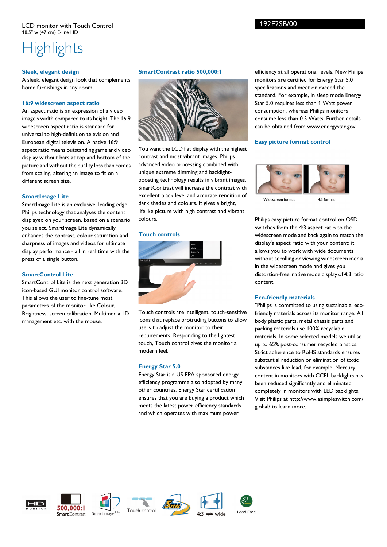## 192E2SB/00

## **Highlights**

### **Sleek, elegant design**

A sleek, elegant design look that complements home furnishings in any room.

#### **16:9 widescreen aspect ratio**

An aspect ratio is an expression of a video image's width compared to its height. The 16:9 widescreen aspect ratio is standard for universal to high-definition television and European digital television. A native 16:9 aspect ratio means outstanding game and video display without bars at top and bottom of the picture and without the quality loss than comes from scaling, altering an image to fit on a different screen size.

#### **SmartImage Lite**

SmartImage Lite is an exclusive, leading edge Philips technology that analyses the content displayed on your screen. Based on a scenario you select, SmartImage Lite dynamically enhances the contrast, colour saturation and sharpness of images and videos for ultimate display performance - all in real time with the press of a single button.

#### **SmartControl Lite**

SmartControl Lite is the next generation 3D icon-based GUI monitor control software. This allows the user to fine-tune most parameters of the monitor like Colour, Brightness, screen calibration, Multimedia, ID management etc. with the mouse.

#### **SmartContrast ratio 500,000:1**



You want the LCD flat display with the highest contrast and most vibrant images. Philips advanced video processing combined with unique extreme dimming and backlightboosting technology results in vibrant images. SmartContrast will increase the contrast with excellent black level and accurate rendition of dark shades and colours. It gives a bright, lifelike picture with high contrast and vibrant colours.

#### **Touch controls**



Touch controls are intelligent, touch-sensitive icons that replace protruding buttons to allow users to adjust the monitor to their requirements. Responding to the lightest touch, Touch control gives the monitor a modern feel.

#### **Energy Star 5.0**

Energy Star is a US EPA sponsored energy efficiency programme also adopted by many other countries. Energy Star certification ensures that you are buying a product which meets the latest power efficiency standards and which operates with maximum power

efficiency at all operational levels. New Philips monitors are certified for Energy Star 5.0 specifications and meet or exceed the standard. For example, in sleep mode Energy Star 5.0 requires less than 1 Watt power consumption, whereas Philips monitors consume less than 0.5 Watts. Further details can be obtained from www.energystar.gov

#### **Easy picture format control**



Widescreen format

4:3 format

Philips easy picture format control on OSD switches from the 4:3 aspect ratio to the widescreen mode and back again to match the display's aspect ratio with your content; it allows you to work with wide documents without scrolling or viewing widescreen media in the widescreen mode and gives you distortion-free, native mode display of 4:3 ratio content.

#### **Eco-friendly materials**

"Philips is committed to using sustainable, ecofriendly materials across its monitor range. All body plastic parts, metal chassis parts and packing materials use 100% recyclable materials. In some selected models we utilise up to 65% post-consumer recycled plastics. Strict adherence to RoHS standards ensures substantial reduction or elimination of toxic substances like lead, for example. Mercury content in monitors with CCFL backlights has been reduced significantly and eliminated completely in monitors with LED backlights. Visit Philips at http://www.asimpleswitch.com/ global/ to learn more.